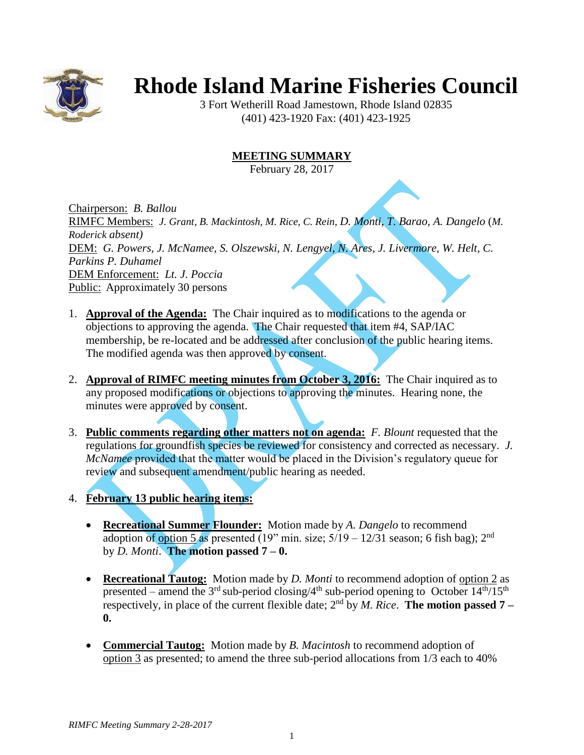

## **Rhode Island Marine Fisheries Council**

3 Fort Wetherill Road Jamestown, Rhode Island 02835 (401) 423-1920 Fax: (401) 423-1925

## **MEETING SUMMARY**

February 28, 2017

Chairperson: *B. Ballou* RIMFC Members: *J. Grant, B. Mackintosh, M. Rice, C. Rein, D. Monti, T. Barao, A. Dangelo* (*M. Roderick absent)* DEM: *G. Powers, J. McNamee, S. Olszewski, N. Lengyel, N. Ares, J. Livermore, W. Helt, C. Parkins P. Duhamel* DEM Enforcement: *Lt. J. Poccia* Public: Approximately 30 persons

- 1. **Approval of the Agenda:** The Chair inquired as to modifications to the agenda or objections to approving the agenda. The Chair requested that item #4, SAP/IAC membership, be re-located and be addressed after conclusion of the public hearing items. The modified agenda was then approved by consent.
- 2. **Approval of RIMFC meeting minutes from October 3, 2016:** The Chair inquired as to any proposed modifications or objections to approving the minutes. Hearing none, the minutes were approved by consent.
- 3. **Public comments regarding other matters not on agenda:** *F. Blount* requested that the regulations for groundfish species be reviewed for consistency and corrected as necessary. *J. McNamee* provided that the matter would be placed in the Division's regulatory queue for review and subsequent amendment/public hearing as needed.
- 4. **February 13 public hearing items:**
	- **Recreational Summer Flounder:** Motion made by *A. Dangelo* to recommend adoption of option 5 as presented (19" min. size;  $5/19 - 12/31$  season; 6 fish bag);  $2<sup>nd</sup>$ by *D. Monti*. **The motion passed 7 – 0.**
	- **Recreational Tautog:** Motion made by *D. Monti* to recommend adoption of option 2 as presented – amend the 3<sup>rd</sup> sub-period closing/4<sup>th</sup> sub-period opening to October  $14^{th}/15^{th}$ respectively, in place of the current flexible date;  $2<sup>nd</sup>$  by *M. Rice*. **The motion passed 7** – **0.**
	- **Commercial Tautog:** Motion made by *B. Macintosh* to recommend adoption of option 3 as presented; to amend the three sub-period allocations from 1/3 each to 40%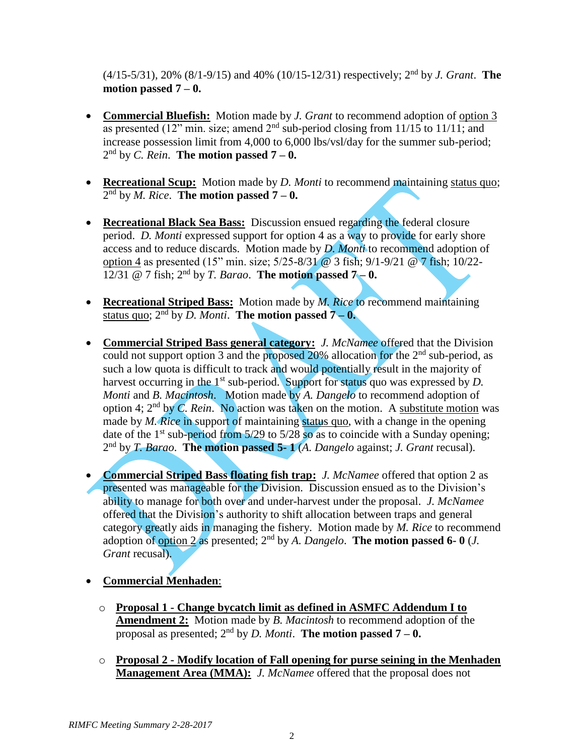(4/15-5/31), 20% (8/1-9/15) and 40% (10/15-12/31) respectively; 2 nd by *J. Grant*. **The motion passed 7 – 0.**

- **Commercial Bluefish:** Motion made by *J. Grant* to recommend adoption of option 3 as presented (12" min. size; amend  $2<sup>nd</sup>$  sub-period closing from 11/15 to 11/11; and increase possession limit from 4,000 to 6,000 lbs/vsl/day for the summer sub-period; 2 nd by *C. Rein*. **The motion passed 7 – 0.**
- **Recreational Scup:** Motion made by *D. Monti* to recommend maintaining status quo; 2 nd by *M. Rice*. **The motion passed 7 – 0.**
- **Recreational Black Sea Bass:** Discussion ensued regarding the federal closure period. *D. Monti* expressed support for option 4 as a way to provide for early shore access and to reduce discards. Motion made by *D. Monti* to recommend adoption of option 4 as presented (15" min. size; 5/25-8/31 @ 3 fish; 9/1-9/21 @ 7 fish; 10/22- 12/31 @ 7 fish;  $2^{nd}$  by *T. Barao*. **The motion passed 7-0.**
- **Recreational Striped Bass:** Motion made by *M. Rice* to recommend maintaining status quo;  $2^{nd}$  by *D. Monti*. **The motion passed**  $7 - 0$ **.**
- **Commercial Striped Bass general category:** *J. McNamee* offered that the Division could not support option 3 and the proposed 20% allocation for the 2<sup>nd</sup> sub-period, as such a low quota is difficult to track and would potentially result in the majority of harvest occurring in the 1<sup>st</sup> sub-period. Support for status quo was expressed by *D*. *Monti* and *B. Macintosh*. Motion made by *A. Dangelo* to recommend adoption of option 4; 2<sup>nd</sup> by *C. Rein.* No action was taken on the motion. A substitute motion was made by *M. Rice* in support of maintaining status quo, with a change in the opening date of the  $1<sup>st</sup>$  sub-period from  $5/29$  to  $5/28$  so as to coincide with a Sunday opening; 2 nd by *T. Barao*. **The motion passed 5- 1** (*A. Dangelo* against; *J. Grant* recusal).
- **Commercial Striped Bass floating fish trap:** *J. McNamee* offered that option 2 as presented was manageable for the Division. Discussion ensued as to the Division's ability to manage for both over and under-harvest under the proposal. *J. McNamee* offered that the Division's authority to shift allocation between traps and general category greatly aids in managing the fishery. Motion made by *M. Rice* to recommend adoption of option 2 as presented; 2<sup>nd</sup> by *A. Dangelo*. **The motion passed 6-0** (*J. Grant* recusal).
- **Commercial Menhaden**:
	- o **Proposal 1 - Change bycatch limit as defined in ASMFC Addendum I to Amendment 2:** Motion made by *B. Macintosh* to recommend adoption of the proposal as presented;  $2^{nd}$  by *D. Monti*. **The motion passed 7 – 0.**
	- o **Proposal 2 - Modify location of Fall opening for purse seining in the Menhaden Management Area (MMA):** *J. McNamee* offered that the proposal does not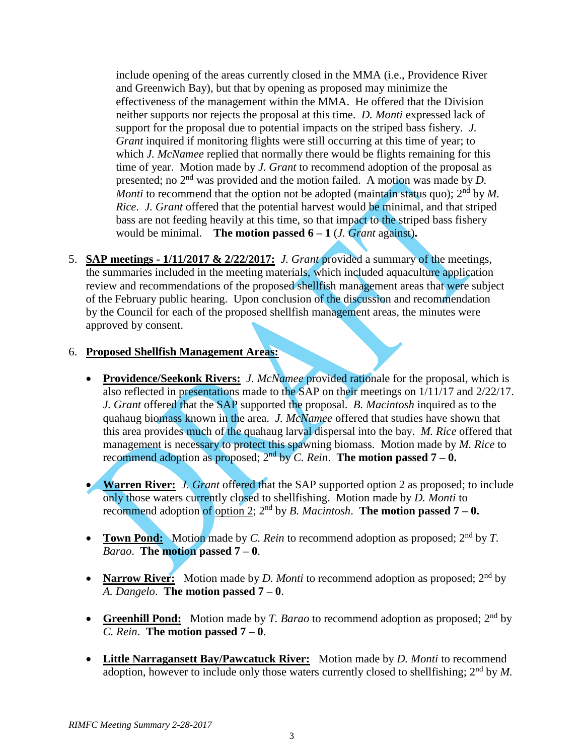include opening of the areas currently closed in the MMA (i.e., Providence River and Greenwich Bay), but that by opening as proposed may minimize the effectiveness of the management within the MMA. He offered that the Division neither supports nor rejects the proposal at this time. *D. Monti* expressed lack of support for the proposal due to potential impacts on the striped bass fishery. *J. Grant* inquired if monitoring flights were still occurring at this time of year; to which *J. McNamee* replied that normally there would be flights remaining for this time of year. Motion made by *J. Grant* to recommend adoption of the proposal as presented; no 2nd was provided and the motion failed. A motion was made by *D. Monti* to recommend that the option not be adopted (maintain status quo); 2<sup>nd</sup> by *M*. *Rice*. *J. Grant* offered that the potential harvest would be minimal, and that striped bass are not feeding heavily at this time, so that impact to the striped bass fishery would be minimal. **The motion passed**  $6-1$  (*J. Grant* against).

5. **SAP meetings - 1/11/2017 & 2/22/2017:** *J. Grant* provided a summary of the meetings, the summaries included in the meeting materials, which included aquaculture application review and recommendations of the proposed shellfish management areas that were subject of the February public hearing. Upon conclusion of the discussion and recommendation by the Council for each of the proposed shellfish management areas, the minutes were approved by consent.

## 6. **Proposed Shellfish Management Areas:**

- **Providence/Seekonk Rivers:** *J. McNamee* provided rationale for the proposal, which is also reflected in presentations made to the SAP on their meetings on 1/11/17 and 2/22/17. *J. Grant* offered that the SAP supported the proposal. *B. Macintosh* inquired as to the quahaug biomass known in the area. *J. McNamee* offered that studies have shown that this area provides much of the quahaug larval dispersal into the bay. *M. Rice* offered that management is necessary to protect this spawning biomass. Motion made by *M. Rice* to recommend adoption as proposed;  $2^{nd}$  by *C. Rein*. The motion passed  $7 - 0$ .
- **Warren River:** *J. Grant* offered that the SAP supported option 2 as proposed; to include only those waters currently closed to shellfishing. Motion made by *D. Monti* to recommend adoption of option 2;  $2^{nd}$  by *B. Macintosh.* The motion passed  $7 - 0$ .
- **Town Pond:** Motion made by *C. Rein* to recommend adoption as proposed; 2<sup>nd</sup> by *T. Barao*. **The motion passed 7 – 0**.
- **Narrow River:** Motion made by *D. Monti* to recommend adoption as proposed; 2<sup>nd</sup> by *A. Dangelo*. **The motion passed 7 – 0**.
- **Greenhill Pond:** Motion made by *T. Barao* to recommend adoption as proposed; 2<sup>nd</sup> by *C. Rein*. **The motion passed 7 – 0**.
- **Little Narragansett Bay/Pawcatuck River:** Motion made by *D. Monti* to recommend adoption, however to include only those waters currently closed to shellfishing; 2<sup>nd</sup> by M.